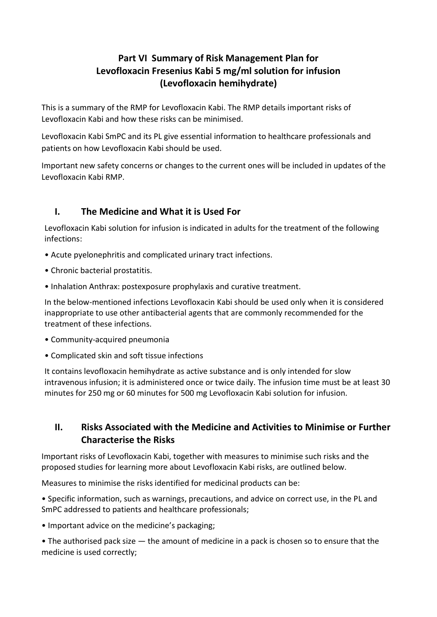# Part VI Summary of Risk Management Plan for Levofloxacin Fresenius Kabi 5 mg/ml solution for infusion (Levofloxacin hemihydrate)

This is a summary of the RMP for Levofloxacin Kabi. The RMP details important risks of Levofloxacin Kabi and how these risks can be minimised.

Levofloxacin Kabi SmPC and its PL give essential information to healthcare professionals and patients on how Levofloxacin Kabi should be used.

Important new safety concerns or changes to the current ones will be included in updates of the Levofloxacin Kabi RMP.

## I. The Medicine and What it is Used For

Levofloxacin Kabi solution for infusion is indicated in adults for the treatment of the following infections:

- Acute pyelonephritis and complicated urinary tract infections.
- Chronic bacterial prostatitis.
- Inhalation Anthrax: postexposure prophylaxis and curative treatment.

In the below-mentioned infections Levofloxacin Kabi should be used only when it is considered inappropriate to use other antibacterial agents that are commonly recommended for the treatment of these infections.

- Community-acquired pneumonia
- Complicated skin and soft tissue infections

It contains levofloxacin hemihydrate as active substance and is only intended for slow intravenous infusion; it is administered once or twice daily. The infusion time must be at least 30 minutes for 250 mg or 60 minutes for 500 mg Levofloxacin Kabi solution for infusion.

### II. Risks Associated with the Medicine and Activities to Minimise or Further Characterise the Risks

Important risks of Levofloxacin Kabi, together with measures to minimise such risks and the proposed studies for learning more about Levofloxacin Kabi risks, are outlined below.

Measures to minimise the risks identified for medicinal products can be:

• Specific information, such as warnings, precautions, and advice on correct use, in the PL and SmPC addressed to patients and healthcare professionals;

• Important advice on the medicine's packaging;

 $\bullet$  The authorised pack size  $-$  the amount of medicine in a pack is chosen so to ensure that the medicine is used correctly;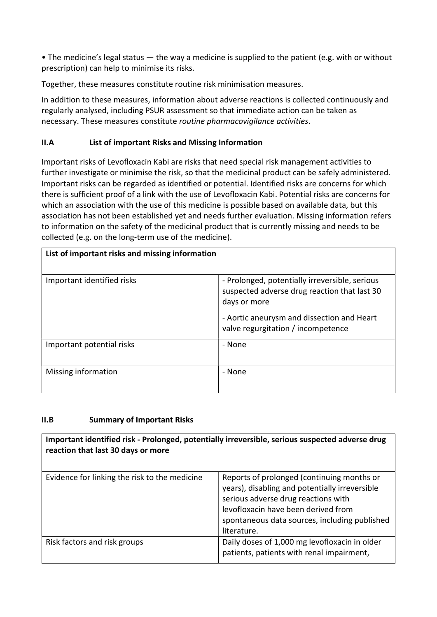• The medicine's legal status — the way a medicine is supplied to the patient (e.g. with or without prescription) can help to minimise its risks.

Together, these measures constitute routine risk minimisation measures.

In addition to these measures, information about adverse reactions is collected continuously and regularly analysed, including PSUR assessment so that immediate action can be taken as necessary. These measures constitute routine pharmacovigilance activities.

### II.A List of important Risks and Missing Information

Important risks of Levofloxacin Kabi are risks that need special risk management activities to further investigate or minimise the risk, so that the medicinal product can be safely administered. Important risks can be regarded as identified or potential. Identified risks are concerns for which there is sufficient proof of a link with the use of Levofloxacin Kabi. Potential risks are concerns for which an association with the use of this medicine is possible based on available data, but this association has not been established yet and needs further evaluation. Missing information refers to information on the safety of the medicinal product that is currently missing and needs to be collected (e.g. on the long-term use of the medicine).

| List of important risks and missing information |                                                                                                                                                                                                    |
|-------------------------------------------------|----------------------------------------------------------------------------------------------------------------------------------------------------------------------------------------------------|
| Important identified risks                      | - Prolonged, potentially irreversible, serious<br>suspected adverse drug reaction that last 30<br>days or more<br>- Aortic aneurysm and dissection and Heart<br>valve regurgitation / incompetence |
| Important potential risks                       | - None                                                                                                                                                                                             |
| Missing information                             | - None                                                                                                                                                                                             |

#### II.B Summary of Important Risks

Important identified risk - Prolonged, potentially irreversible, serious suspected adverse drug reaction that last 30 days or more Evidence for linking the risk to the medicine  $\vert$  Reports of prolonged (continuing months or years), disabling and potentially irreversible serious adverse drug reactions with levofloxacin have been derived from spontaneous data sources, including published literature. Risk factors and risk groups **Daily doses of 1,000 mg levofloxacin in older** patients, patients with renal impairment,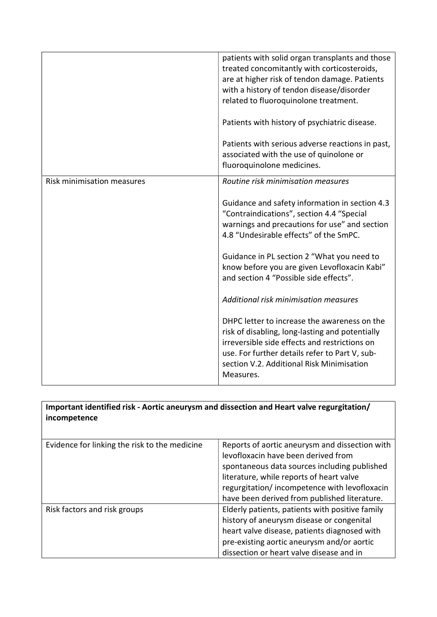|                                   | patients with solid organ transplants and those<br>treated concomitantly with corticosteroids,<br>are at higher risk of tendon damage. Patients<br>with a history of tendon disease/disorder<br>related to fluoroquinolone treatment.<br>Patients with history of psychiatric disease.<br>Patients with serious adverse reactions in past,<br>associated with the use of quinolone or<br>fluoroquinolone medicines.                                                                                                                                                                                                                                                           |
|-----------------------------------|-------------------------------------------------------------------------------------------------------------------------------------------------------------------------------------------------------------------------------------------------------------------------------------------------------------------------------------------------------------------------------------------------------------------------------------------------------------------------------------------------------------------------------------------------------------------------------------------------------------------------------------------------------------------------------|
| <b>Risk minimisation measures</b> | Routine risk minimisation measures<br>Guidance and safety information in section 4.3<br>"Contraindications", section 4.4 "Special<br>warnings and precautions for use" and section<br>4.8 "Undesirable effects" of the SmPC.<br>Guidance in PL section 2 "What you need to<br>know before you are given Levofloxacin Kabi"<br>and section 4 "Possible side effects".<br>Additional risk minimisation measures<br>DHPC letter to increase the awareness on the<br>risk of disabling, long-lasting and potentially<br>irreversible side effects and restrictions on<br>use. For further details refer to Part V, sub-<br>section V.2. Additional Risk Minimisation<br>Measures. |

| Important identified risk - Aortic aneurysm and dissection and Heart valve regurgitation/<br>incompetence |                                                 |
|-----------------------------------------------------------------------------------------------------------|-------------------------------------------------|
| Evidence for linking the risk to the medicine                                                             | Reports of aortic aneurysm and dissection with  |
|                                                                                                           | levofloxacin have been derived from             |
|                                                                                                           | spontaneous data sources including published    |
|                                                                                                           | literature, while reports of heart valve        |
|                                                                                                           | regurgitation/incompetence with levofloxacin    |
|                                                                                                           | have been derived from published literature.    |
| Risk factors and risk groups                                                                              | Elderly patients, patients with positive family |
|                                                                                                           | history of aneurysm disease or congenital       |
|                                                                                                           | heart valve disease, patients diagnosed with    |
|                                                                                                           | pre-existing aortic aneurysm and/or aortic      |
|                                                                                                           | dissection or heart valve disease and in        |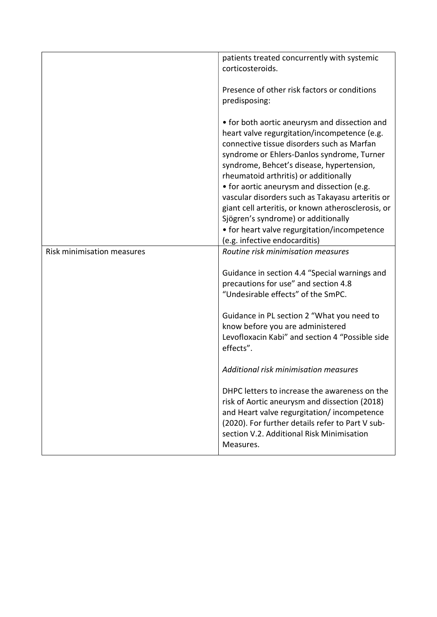|                                   | patients treated concurrently with systemic<br>corticosteroids.                                                                                                                                                                                                                                                                                                                                                                                                                                                                                                 |
|-----------------------------------|-----------------------------------------------------------------------------------------------------------------------------------------------------------------------------------------------------------------------------------------------------------------------------------------------------------------------------------------------------------------------------------------------------------------------------------------------------------------------------------------------------------------------------------------------------------------|
|                                   | Presence of other risk factors or conditions<br>predisposing:                                                                                                                                                                                                                                                                                                                                                                                                                                                                                                   |
|                                   | • for both aortic aneurysm and dissection and<br>heart valve regurgitation/incompetence (e.g.<br>connective tissue disorders such as Marfan<br>syndrome or Ehlers-Danlos syndrome, Turner<br>syndrome, Behcet's disease, hypertension,<br>rheumatoid arthritis) or additionally<br>• for aortic aneurysm and dissection (e.g.<br>vascular disorders such as Takayasu arteritis or<br>giant cell arteritis, or known atherosclerosis, or<br>Sjögren's syndrome) or additionally<br>• for heart valve regurgitation/incompetence<br>(e.g. infective endocarditis) |
| <b>Risk minimisation measures</b> | Routine risk minimisation measures                                                                                                                                                                                                                                                                                                                                                                                                                                                                                                                              |
|                                   | Guidance in section 4.4 "Special warnings and<br>precautions for use" and section 4.8<br>"Undesirable effects" of the SmPC.<br>Guidance in PL section 2 "What you need to                                                                                                                                                                                                                                                                                                                                                                                       |
|                                   | know before you are administered<br>Levofloxacin Kabi" and section 4 "Possible side<br>effects".                                                                                                                                                                                                                                                                                                                                                                                                                                                                |
|                                   | Additional risk minimisation measures                                                                                                                                                                                                                                                                                                                                                                                                                                                                                                                           |
|                                   | DHPC letters to increase the awareness on the<br>risk of Aortic aneurysm and dissection (2018)<br>and Heart valve regurgitation/incompetence<br>(2020). For further details refer to Part V sub-<br>section V.2. Additional Risk Minimisation<br>Measures.                                                                                                                                                                                                                                                                                                      |